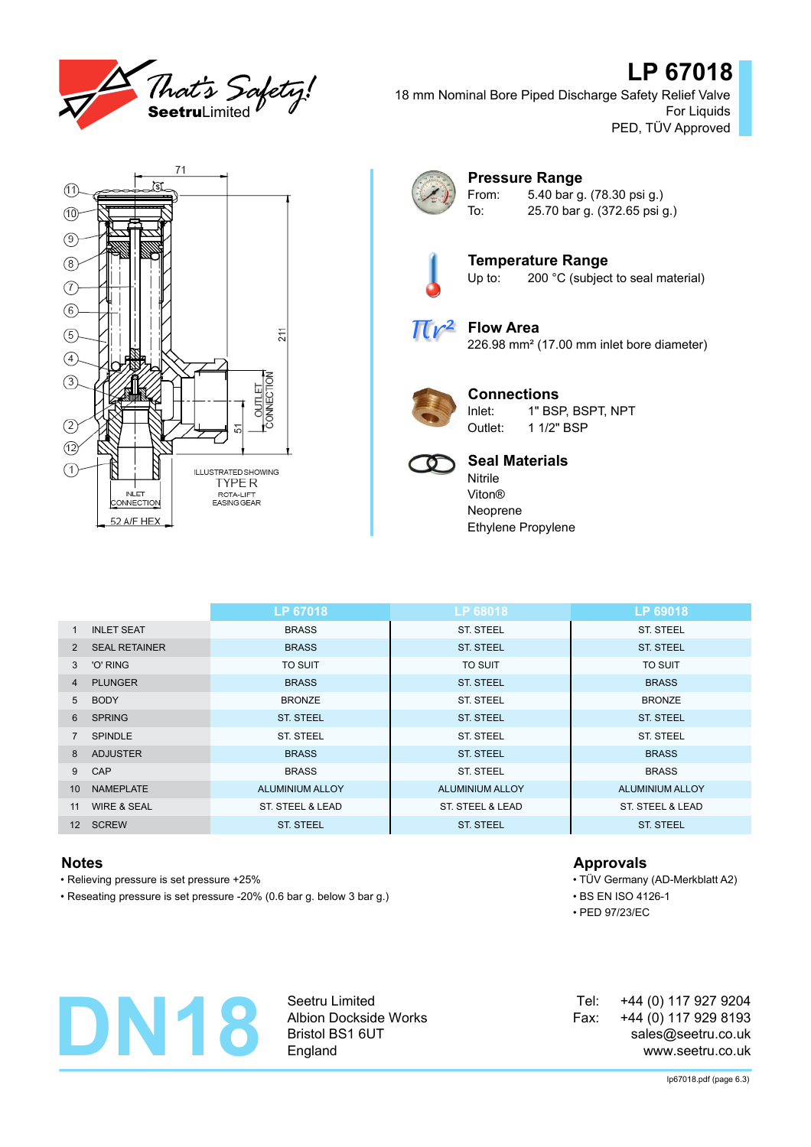

# **LP 67018**

18 mm Nominal Bore Piped Discharge Safety Relief Valve For Liquids PED, TÜV Approved





### **Pressure Range** From: 5.40 bar g. (78.30 psi g.)

To: 25.70 bar g. (372.65 psi g.)



**Temperature Range**<br>Up to: 200 °C (subject 200 °C (subject to seal material)

 $\pi r^2$ 

**Flow Area** 226.98 mm² (17.00 mm inlet bore diameter)



### **Connections**

Inlet: 1" BSP, BSPT, NPT Outlet: 1 1/2" BSP



## **Seal Materials**

Nitrile Viton® Neoprene Ethylene Propylene

|                 |                        | LP 67018               | LP 68018         | LP 69018         |
|-----------------|------------------------|------------------------|------------------|------------------|
| $\mathbf{1}$    | <b>INLET SEAT</b>      | <b>BRASS</b>           | <b>ST. STEEL</b> | <b>ST. STEEL</b> |
| 2               | <b>SEAL RETAINER</b>   | <b>BRASS</b>           | <b>ST. STEEL</b> | <b>ST. STEEL</b> |
| 3               | 'O' RING               | <b>TO SUIT</b>         | <b>TO SUIT</b>   | TO SUIT          |
| 4               | <b>PLUNGER</b>         | <b>BRASS</b>           | <b>ST. STEEL</b> | <b>BRASS</b>     |
| 5               | <b>BODY</b>            | <b>BRONZE</b>          | <b>ST. STEEL</b> | <b>BRONZE</b>    |
| 6               | <b>SPRING</b>          | <b>ST. STEEL</b>       | <b>ST. STEEL</b> | <b>ST. STEEL</b> |
|                 | <b>SPINDLE</b>         | ST. STEEL              | <b>ST. STEEL</b> | <b>ST. STEEL</b> |
| 8               | <b>ADJUSTER</b>        | <b>BRASS</b>           | <b>ST. STEEL</b> | <b>BRASS</b>     |
| 9               | CAP                    | <b>BRASS</b>           | <b>ST. STEEL</b> | <b>BRASS</b>     |
| 10              | <b>NAMEPLATE</b>       | <b>ALUMINIUM ALLOY</b> | ALUMINIUM ALLOY  | ALUMINIUM ALLOY  |
| 11              | <b>WIRE &amp; SEAL</b> | ST. STEEL & LEAD       | ST. STEEL & LEAD | ST. STEEL & LEAD |
| 12 <sup>2</sup> | <b>SCREW</b>           | <b>ST. STEEL</b>       | <b>ST. STEEL</b> | <b>ST. STEEL</b> |

- Relieving pressure is set pressure +25% TÜV Germany (AD-Merkblatt A2)
- Reseating pressure is set pressure -20% (0.6 bar g. below 3 bar g.) BS EN ISO 4126-1

### **Notes Approvals**

- 
- 
- PED 97/23/EC



Seetru Limited Albion Dockside Works Bristol BS1 6UT England

| Tel: | +44 (0) 117 927 9204 |  |
|------|----------------------|--|
| Fax: | +44 (0) 117 929 8193 |  |
|      | sales@seetru.co.uk   |  |
|      | www.seetru.co.uk     |  |

lp67018.pdf (page 6.3)